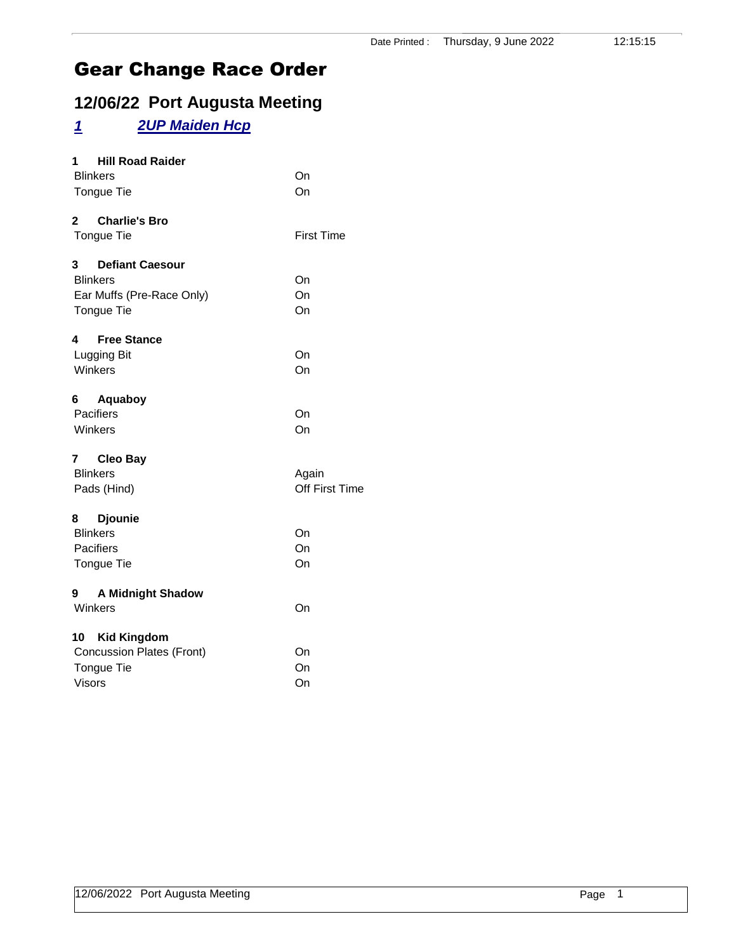#### **12/06/22 Port Augusta Meeting**

#### *1 2UP Maiden Hcp*

| <b>Hill Road Raider</b><br>1             |                   |
|------------------------------------------|-------------------|
| <b>Blinkers</b>                          | On                |
| Tongue Tie                               | On                |
| $\mathbf{2}$<br><b>Charlie's Bro</b>     |                   |
| Tongue Tie                               | <b>First Time</b> |
| 3 <sup>1</sup><br><b>Defiant Caesour</b> |                   |
| <b>Blinkers</b>                          | On                |
| Ear Muffs (Pre-Race Only)                | On                |
| Tongue Tie                               | On                |
| 4<br><b>Free Stance</b>                  |                   |
| Lugging Bit                              | On                |
| Winkers                                  | On                |
| Aquaboy<br>6                             |                   |
| Pacifiers                                | On                |
| Winkers                                  | On                |
| 7 Cleo Bay                               |                   |
| <b>Blinkers</b>                          | Again             |
| Pads (Hind)                              | Off First Time    |
| <b>Djounie</b><br>8                      |                   |
| <b>Blinkers</b>                          | On                |
| Pacifiers                                | On                |
| Tongue Tie                               | On                |
| <b>A Midnight Shadow</b><br>9            |                   |
| Winkers                                  | On                |
| 10 Kid Kingdom                           |                   |
| <b>Concussion Plates (Front)</b>         | On                |
| Tongue Tie                               | On                |
| Visors                                   | On                |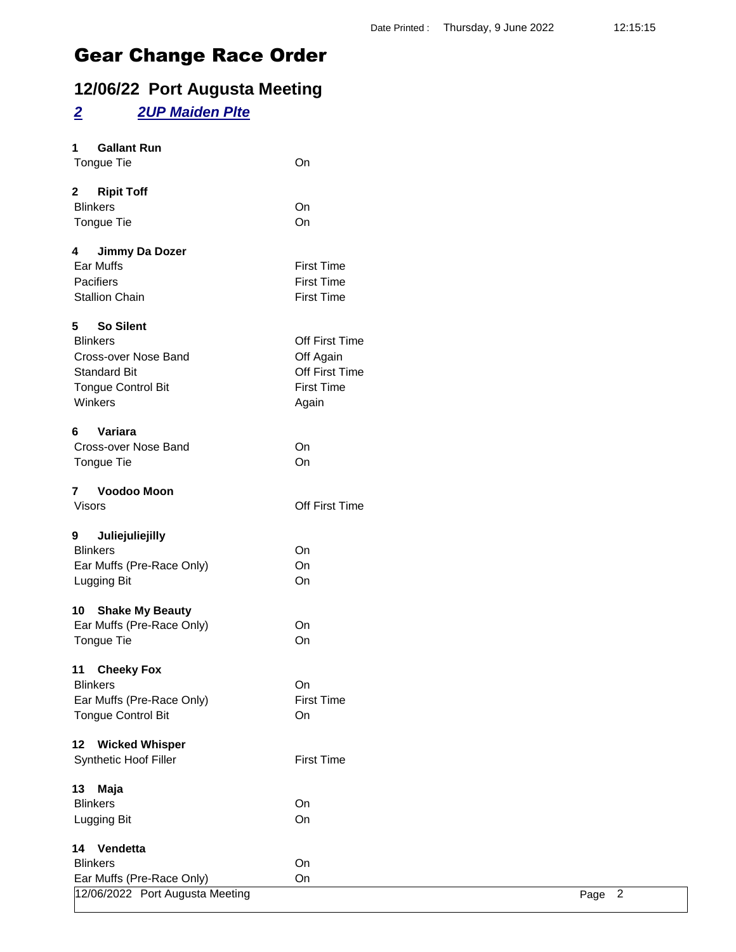### **12/06/22 Port Augusta Meeting**

#### *2 2UP Maiden Plte*

| 1             | <b>Gallant Run</b>              |                   |        |
|---------------|---------------------------------|-------------------|--------|
|               | Tongue Tie                      | On                |        |
| $\mathbf{2}$  | <b>Ripit Toff</b>               |                   |        |
|               | <b>Blinkers</b>                 | On                |        |
|               | Tongue Tie                      | On                |        |
|               |                                 |                   |        |
| 4             | Jimmy Da Dozer                  |                   |        |
|               | Ear Muffs                       | <b>First Time</b> |        |
|               | Pacifiers                       | <b>First Time</b> |        |
|               | <b>Stallion Chain</b>           | <b>First Time</b> |        |
| 5             | <b>So Silent</b>                |                   |        |
|               | <b>Blinkers</b>                 | Off First Time    |        |
|               | Cross-over Nose Band            | Off Again         |        |
|               | <b>Standard Bit</b>             | Off First Time    |        |
|               | <b>Tongue Control Bit</b>       | <b>First Time</b> |        |
|               | Winkers                         | Again             |        |
|               |                                 |                   |        |
| 6             | Variara                         |                   |        |
|               | Cross-over Nose Band            | On                |        |
|               | Tongue Tie                      | On                |        |
| 7             | Voodoo Moon                     |                   |        |
| <b>Visors</b> |                                 | Off First Time    |        |
|               |                                 |                   |        |
| 9             | Juliejuliejilly                 |                   |        |
|               | <b>Blinkers</b>                 | On                |        |
|               | Ear Muffs (Pre-Race Only)       | On                |        |
|               | Lugging Bit                     | On                |        |
|               |                                 |                   |        |
| 10            | <b>Shake My Beauty</b>          |                   |        |
|               | Ear Muffs (Pre-Race Only)       | On                |        |
|               | Tongue Tie                      | On                |        |
| 11            | <b>Cheeky Fox</b>               |                   |        |
|               | <b>Blinkers</b>                 | On                |        |
|               | Ear Muffs (Pre-Race Only)       | <b>First Time</b> |        |
|               | <b>Tongue Control Bit</b>       | On                |        |
|               |                                 |                   |        |
| 12            | <b>Wicked Whisper</b>           |                   |        |
|               | Synthetic Hoof Filler           | <b>First Time</b> |        |
| 13            | Maja                            |                   |        |
|               | <b>Blinkers</b>                 | On                |        |
|               | Lugging Bit                     | On                |        |
|               |                                 |                   |        |
| 14            | Vendetta                        |                   |        |
|               | <b>Blinkers</b>                 | On                |        |
|               | Ear Muffs (Pre-Race Only)       | On                |        |
|               | 12/06/2022 Port Augusta Meeting |                   | Page 2 |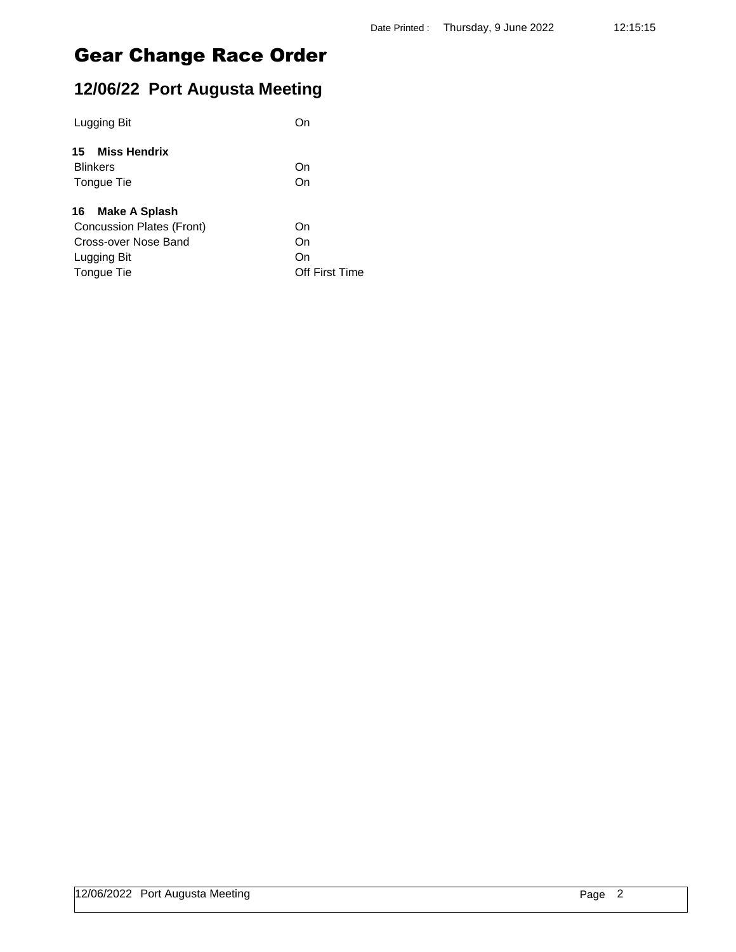### **12/06/22 Port Augusta Meeting**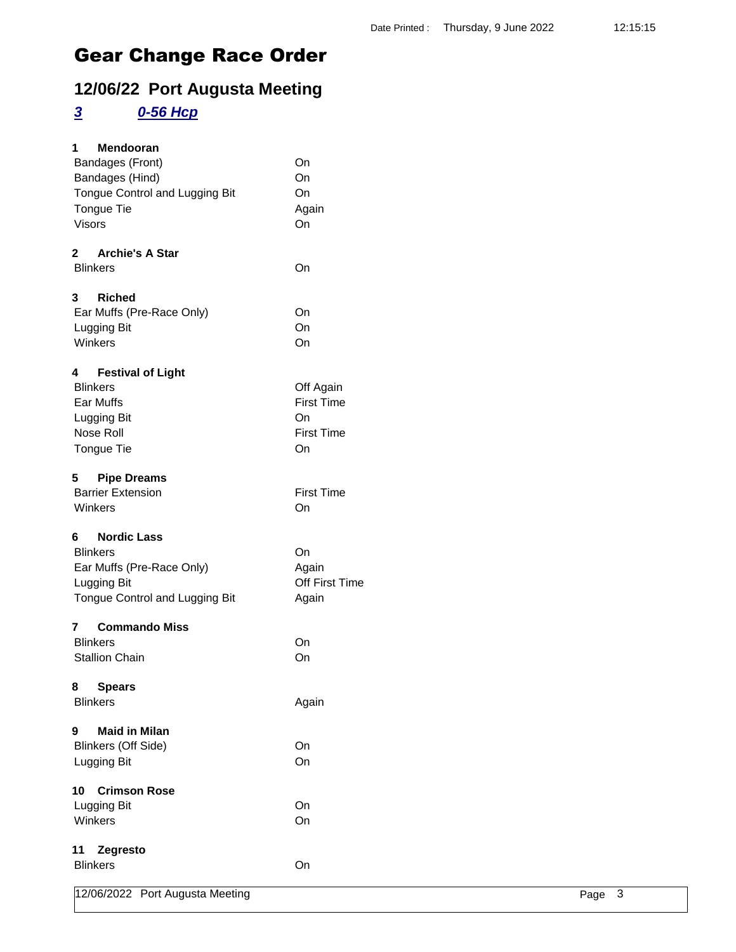### **12/06/22 Port Augusta Meeting**

### *3 0-56 Hcp*

| 1<br>Mendooran                           |                   |
|------------------------------------------|-------------------|
| Bandages (Front)                         | On                |
| Bandages (Hind)                          | On                |
| Tongue Control and Lugging Bit           | On                |
| Tongue Tie                               | Again             |
| <b>Visors</b>                            | On                |
| $\mathbf{2}$<br><b>Archie's A Star</b>   |                   |
| <b>Blinkers</b>                          | On                |
| 3<br><b>Riched</b>                       |                   |
| Ear Muffs (Pre-Race Only)                | On                |
| Lugging Bit                              | On                |
| Winkers                                  | On                |
| <b>Festival of Light</b><br>4            |                   |
| <b>Blinkers</b>                          | Off Again         |
| Ear Muffs                                | <b>First Time</b> |
| Lugging Bit                              | On                |
| Nose Roll                                | <b>First Time</b> |
| Tongue Tie                               | On                |
| 5<br><b>Pipe Dreams</b>                  |                   |
| <b>Barrier Extension</b>                 | <b>First Time</b> |
| Winkers                                  | On                |
| <b>Nordic Lass</b><br>6                  |                   |
| <b>Blinkers</b>                          | On                |
| Ear Muffs (Pre-Race Only)                | Again             |
| Lugging Bit                              | Off First Time    |
| Tongue Control and Lugging Bit           | Again             |
| <b>Commando Miss</b><br>7                |                   |
| <b>Blinkers</b>                          | On                |
| <b>Stallion Chain</b>                    | On                |
| 8<br><b>Spears</b>                       |                   |
| <b>Blinkers</b>                          | Again             |
| <b>Maid in Milan</b><br>$\boldsymbol{9}$ |                   |
| <b>Blinkers (Off Side)</b>               | On                |
| Lugging Bit                              | On                |
| <b>Crimson Rose</b><br>10                |                   |
| Lugging Bit                              | On                |
| Winkers                                  | On                |
| Zegresto<br>11                           |                   |
| <b>Blinkers</b>                          | On                |
| 12/06/2022 Port Augusta Meeting          | Page 3            |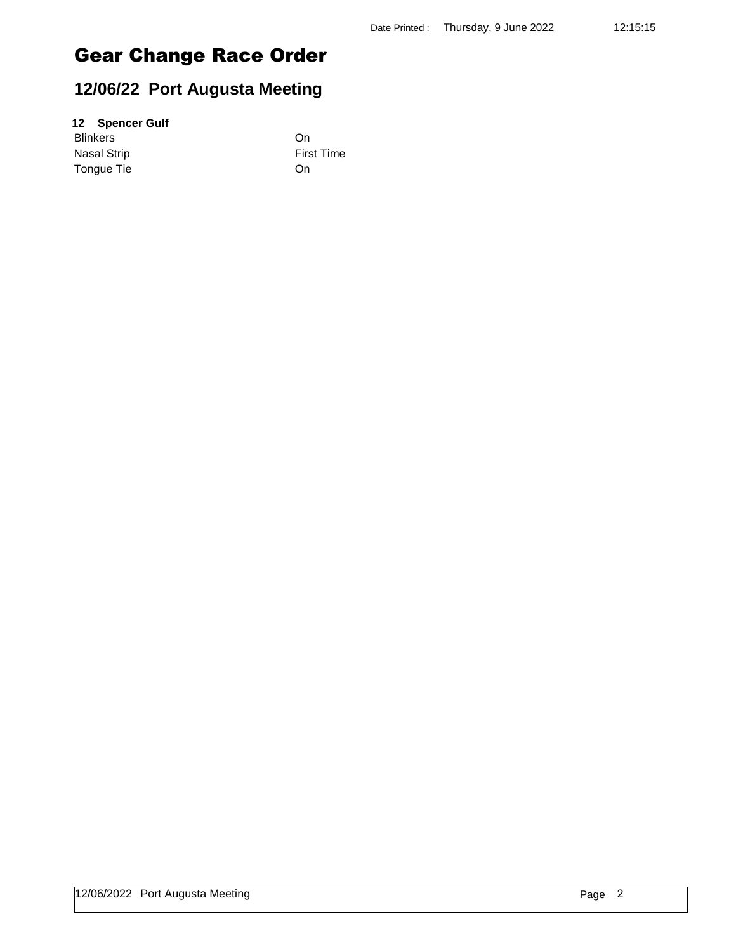### **12/06/22 Port Augusta Meeting**

#### **12 Spencer Gulf**

Blinkers On Nasal Strip **First Time** Tongue Tie On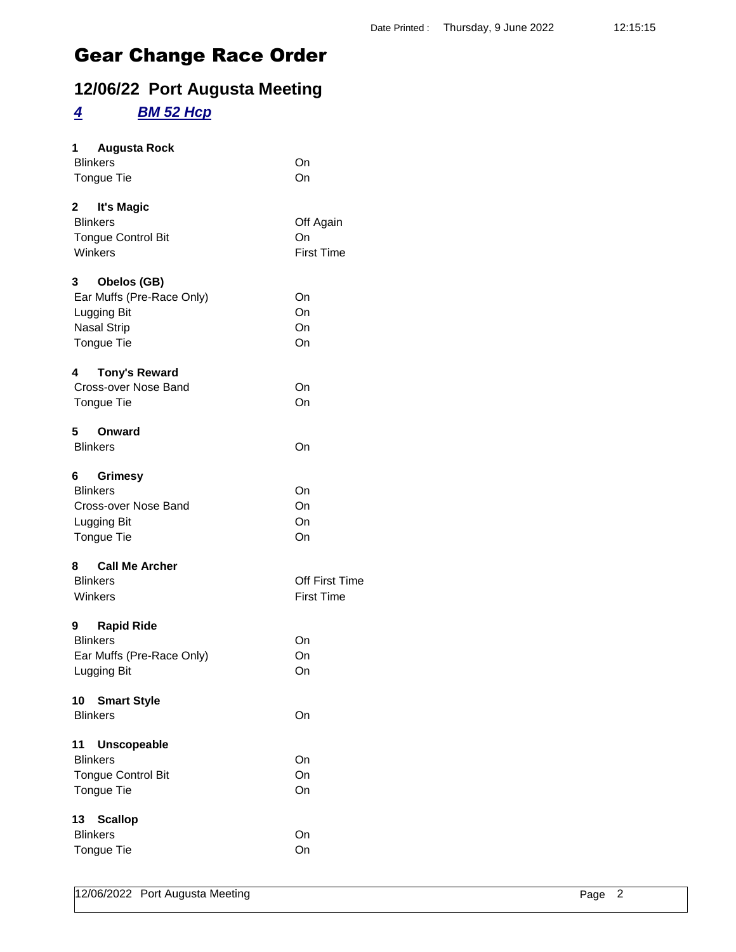### **12/06/22 Port Augusta Meeting**

#### *4 BM 52 Hcp*

| 1  | <b>Augusta Rock</b>       |                   |
|----|---------------------------|-------------------|
|    | <b>Blinkers</b>           | On                |
|    | Tongue Tie                | On                |
|    | 2 It's Magic              |                   |
|    | <b>Blinkers</b>           | Off Again         |
|    | <b>Tongue Control Bit</b> | On                |
|    | Winkers                   | <b>First Time</b> |
| 3  | Obelos (GB)               |                   |
|    | Ear Muffs (Pre-Race Only) | On                |
|    | Lugging Bit               | On                |
|    | <b>Nasal Strip</b>        | On                |
|    | Tongue Tie                | On                |
| 4  | <b>Tony's Reward</b>      |                   |
|    | Cross-over Nose Band      | On                |
|    | Tongue Tie                | On                |
| 5  | Onward                    |                   |
|    | <b>Blinkers</b>           | On                |
| 6  | <b>Grimesy</b>            |                   |
|    | <b>Blinkers</b>           | On                |
|    | Cross-over Nose Band      | On                |
|    | Lugging Bit               | On                |
|    | Tongue Tie                | On                |
|    | 8 Call Me Archer          |                   |
|    | <b>Blinkers</b>           | Off First Time    |
|    | Winkers                   | <b>First Time</b> |
| 9  | <b>Rapid Ride</b>         |                   |
|    | <b>Blinkers</b>           | On                |
|    | Ear Muffs (Pre-Race Only) | On                |
|    | Lugging Bit               | On                |
| 10 | <b>Smart Style</b>        |                   |
|    | <b>Blinkers</b>           | On                |
| 11 | <b>Unscopeable</b>        |                   |
|    | <b>Blinkers</b>           | On                |
|    | <b>Tongue Control Bit</b> | On                |
|    | Tongue Tie                | On                |
| 13 | <b>Scallop</b>            |                   |
|    | <b>Blinkers</b>           | On                |
|    | Tongue Tie                | On                |
|    |                           |                   |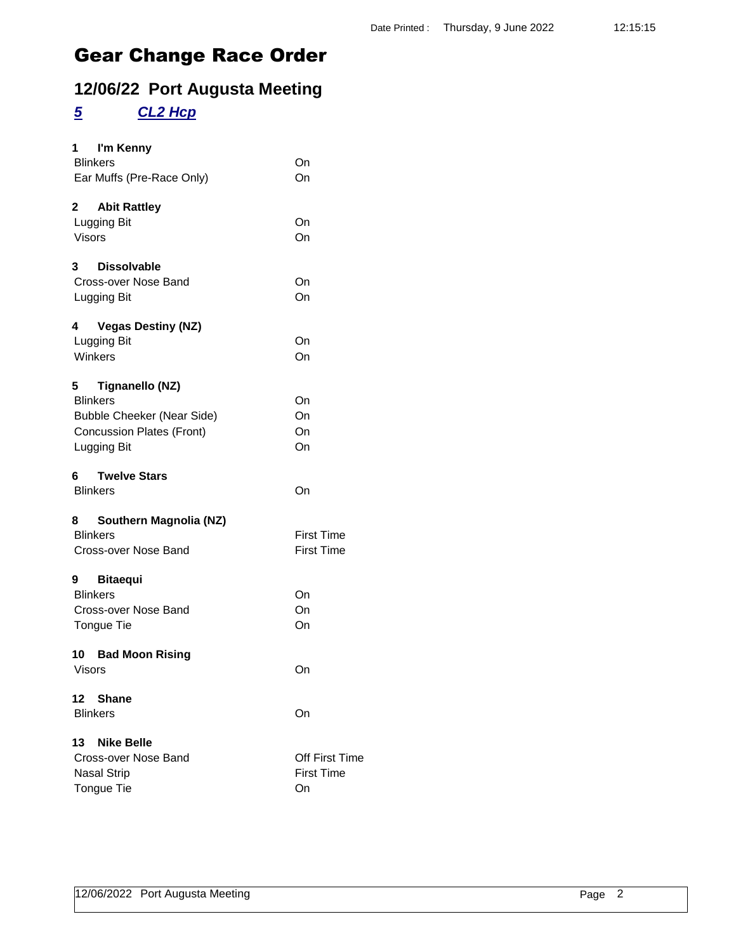### **12/06/22 Port Augusta Meeting**

### *5 CL2 Hcp*

| 1 I'm Kenny<br><b>Blinkers</b><br>Ear Muffs (Pre-Race Only)                                                                     | On<br>On                                  |
|---------------------------------------------------------------------------------------------------------------------------------|-------------------------------------------|
| $\mathbf{2}$<br><b>Abit Rattley</b><br>Lugging Bit<br><b>Visors</b>                                                             | On<br>On                                  |
| <b>Dissolvable</b><br>3<br>Cross-over Nose Band<br>Lugging Bit                                                                  | On<br>On                                  |
| <b>Vegas Destiny (NZ)</b><br>4<br>Lugging Bit<br>Winkers                                                                        | On<br>On                                  |
| 5<br>Tignanello (NZ)<br><b>Blinkers</b><br><b>Bubble Cheeker (Near Side)</b><br><b>Concussion Plates (Front)</b><br>Lugging Bit | On<br>On<br>On<br>On                      |
| <b>Twelve Stars</b><br><b>Blinkers</b>                                                                                          | On                                        |
| Southern Magnolia (NZ)<br>8<br><b>Blinkers</b><br>Cross-over Nose Band                                                          | <b>First Time</b><br><b>First Time</b>    |
| 9 Bitaequi<br><b>Blinkers</b><br>Cross-over Nose Band<br>Tongue Tie                                                             | On<br>On<br>On                            |
| 10 Bad Moon Rising<br>Visors                                                                                                    | On                                        |
| 12<br><b>Shane</b><br><b>Blinkers</b>                                                                                           | On                                        |
| <b>Nike Belle</b><br>13<br>Cross-over Nose Band<br><b>Nasal Strip</b><br><b>Tongue Tie</b>                                      | Off First Time<br><b>First Time</b><br>On |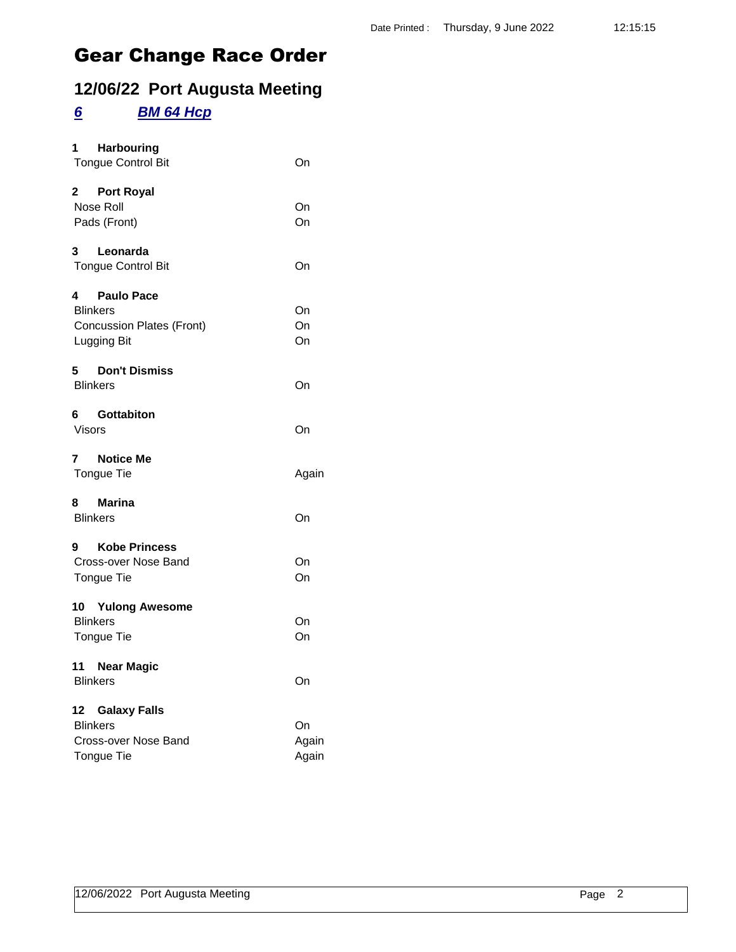### **12/06/22 Port Augusta Meeting**

#### *6 BM 64 Hcp*

| 1 Harbouring<br><b>Tongue Control Bit</b>                                          | On                   |
|------------------------------------------------------------------------------------|----------------------|
| 2 Port Royal<br>Nose Roll<br>Pads (Front)                                          | On<br>On             |
| 3 Leonarda<br><b>Tongue Control Bit</b>                                            | On                   |
| 4 Paulo Pace<br><b>Blinkers</b><br><b>Concussion Plates (Front)</b><br>Lugging Bit | On<br>On<br>On       |
| 5<br><b>Don't Dismiss</b><br><b>Blinkers</b>                                       | On                   |
| 6 Gottabiton<br>Visors                                                             | On                   |
| 7 Notice Me<br>Tongue Tie                                                          | Again                |
| 8 Marina<br><b>Blinkers</b>                                                        | On                   |
| 9 Kobe Princess<br>Cross-over Nose Band<br>Tongue Tie                              | On<br>On             |
| 10 Yulong Awesome<br><b>Blinkers</b><br>Tongue Tie                                 | On<br>On             |
| 11 Near Magic<br><b>Blinkers</b>                                                   | On                   |
| 12 Galaxy Falls<br><b>Blinkers</b><br>Cross-over Nose Band<br><b>Tongue Tie</b>    | On<br>Again<br>Again |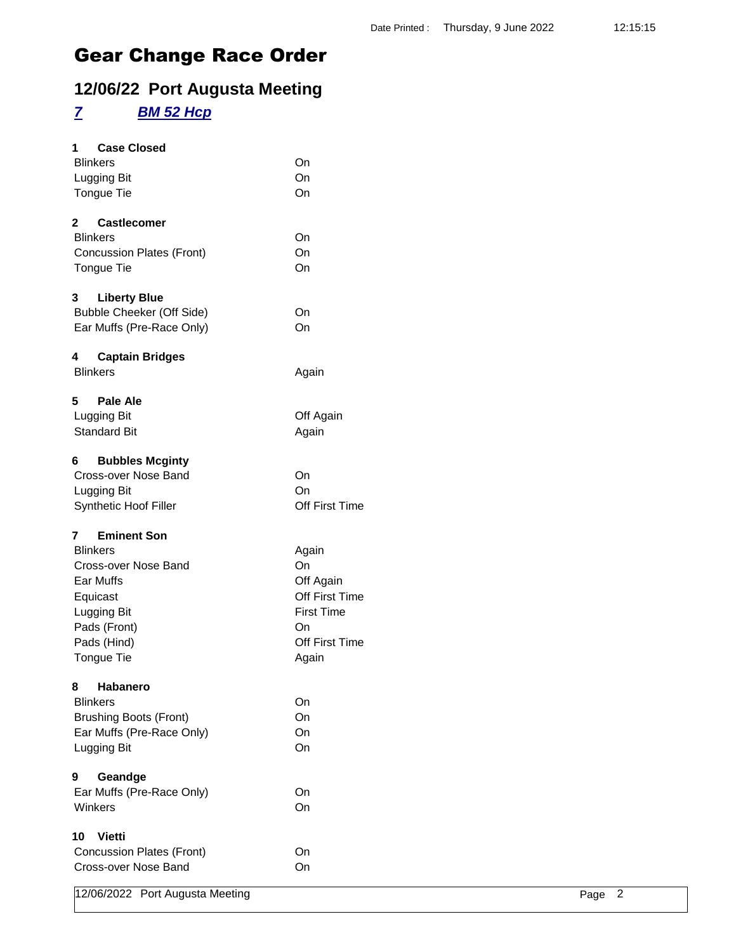### **12/06/22 Port Augusta Meeting**

#### *7 BM 52 Hcp*

| <b>Case Closed</b><br>1<br><b>Blinkers</b><br>Lugging Bit<br>Tongue Tie                                                                                 | On<br>On<br>On                                                                                   |
|---------------------------------------------------------------------------------------------------------------------------------------------------------|--------------------------------------------------------------------------------------------------|
| $\mathbf{2}$<br><b>Castlecomer</b><br><b>Blinkers</b><br><b>Concussion Plates (Front)</b><br>Tongue Tie                                                 | On<br>On<br>On                                                                                   |
| 3<br><b>Liberty Blue</b><br>Bubble Cheeker (Off Side)<br>Ear Muffs (Pre-Race Only)                                                                      | On<br>On                                                                                         |
| 4<br><b>Captain Bridges</b><br><b>Blinkers</b>                                                                                                          | Again                                                                                            |
| 5<br>Pale Ale<br>Lugging Bit<br><b>Standard Bit</b>                                                                                                     | Off Again<br>Again                                                                               |
| <b>Bubbles Mcginty</b><br>6<br>Cross-over Nose Band<br>Lugging Bit<br>Synthetic Hoof Filler                                                             | On<br>On<br>Off First Time                                                                       |
| <b>Eminent Son</b><br>7<br><b>Blinkers</b><br>Cross-over Nose Band<br>Ear Muffs<br>Equicast<br>Lugging Bit<br>Pads (Front)<br>Pads (Hind)<br>Tongue Tie | Again<br>On<br>Off Again<br>Off First Time<br><b>First Time</b><br>On<br>Off First Time<br>Again |
| Habanero<br>8<br><b>Blinkers</b><br><b>Brushing Boots (Front)</b><br>Ear Muffs (Pre-Race Only)<br>Lugging Bit                                           | On<br>On<br>On<br>On                                                                             |
| 9<br>Geandge<br>Ear Muffs (Pre-Race Only)<br>Winkers                                                                                                    | On<br>On                                                                                         |
| 10<br><b>Vietti</b><br><b>Concussion Plates (Front)</b><br>Cross-over Nose Band                                                                         | On<br>On                                                                                         |

12/06/2022 Port Augusta Meeting **Page 2** Page 2